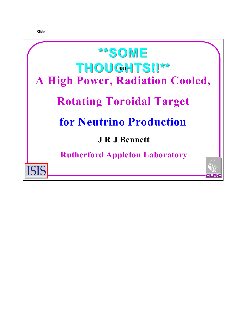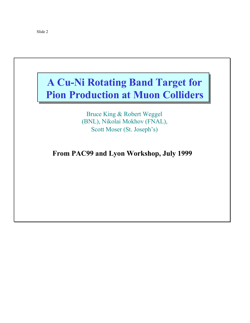## **A Cu-Ni Rotating Band Target for A Cu-Ni Rotating Band Target for Pion Production at Muon Colliders Pion Production at Muon Colliders**

Bruce King & Robert Weggel (BNL), Nikolai Mokhov (FNAL), Scott Moser (St. Joseph's)

**From PAC99 and Lyon Workshop, July 1999**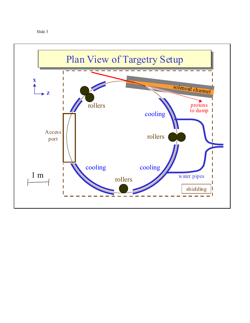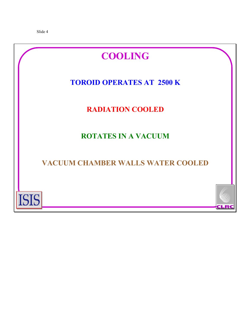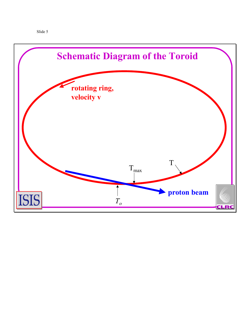

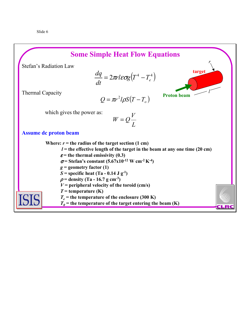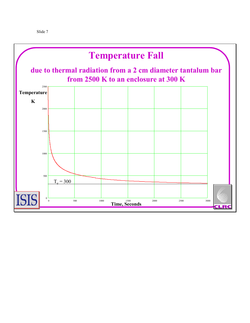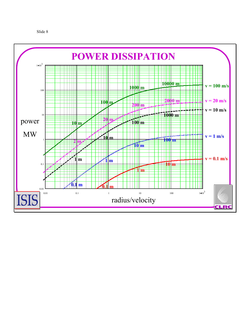```
Slide 8
```
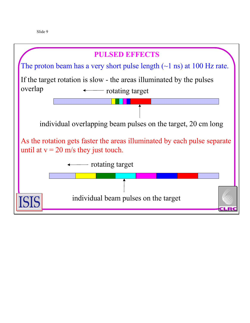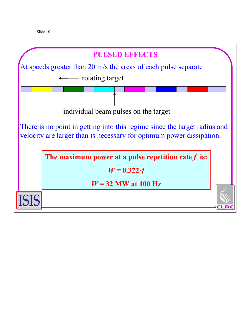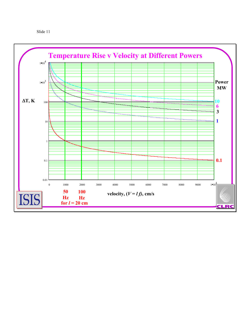